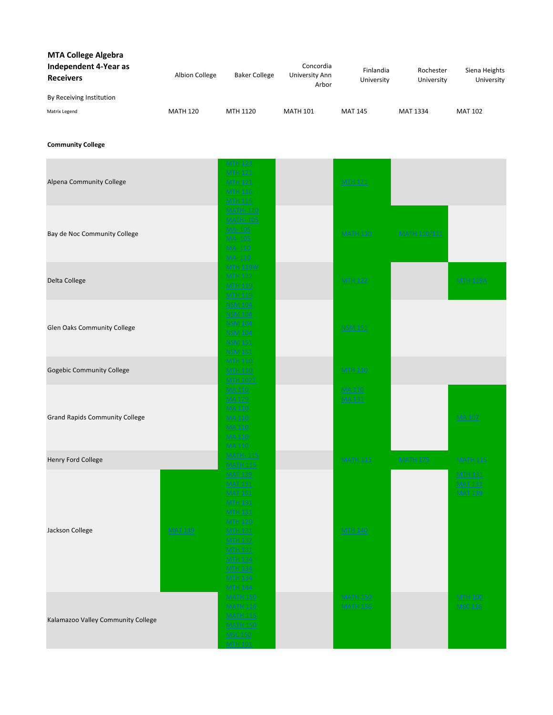| <b>MTA College Algebra</b>                |                 |                      |                                      |                         |                         |                             |
|-------------------------------------------|-----------------|----------------------|--------------------------------------|-------------------------|-------------------------|-----------------------------|
| Independent 4-Year as<br><b>Receivers</b> | Albion College  | <b>Baker College</b> | Concordia<br>University Ann<br>Arbor | Finlandia<br>University | Rochester<br>University | Siena Heights<br>University |
| By Receiving Institution                  |                 |                      |                                      |                         |                         |                             |
| Matrix Legend                             | <b>MATH 120</b> | MTH 1120             | <b>MATH 101</b>                      | <b>MAT 145</b>          | MAT 1334                | <b>MAT 102</b>              |

Community College

| Alpena Community College              |                | <b>MTH 123</b><br><b>MTH 121</b><br><b>MTH 121</b><br><b>MTH 116</b><br><b>MTH 115</b>                                                                                                                                                  | <b>MTH 121</b>                     |                     |                                                    |
|---------------------------------------|----------------|-----------------------------------------------------------------------------------------------------------------------------------------------------------------------------------------------------------------------------------------|------------------------------------|---------------------|----------------------------------------------------|
| Bay de Noc Community College          |                | <b>MATH-110</b><br><b>MATH-105</b><br>MA-105<br>MA-105<br>MA-110<br>MA-110                                                                                                                                                              | <b>MATH 110</b>                    | <b>MATH 110/111</b> |                                                    |
| Delta College                         |                | <b>MTH 119W</b><br><b>MTH 122</b><br><b>MTH 119</b><br><b>MTH 119</b>                                                                                                                                                                   | <b>MTH 122</b>                     |                     | <b>MTH 119A</b>                                    |
| Glen Oaks Community College           |                | <b>NSM 104</b><br><b>NSM 104</b><br><b>NSM 104</b><br><b>NSM 104</b><br><b>NSM 151</b><br><b>NSM 151</b>                                                                                                                                | <b>NSM 151</b>                     |                     |                                                    |
| Gogebic Community College             |                | <b>MTH 110</b><br><b>MTH 110</b><br><b>MTH 102T</b>                                                                                                                                                                                     | <b>MTH 110</b>                     |                     |                                                    |
| <b>Grand Rapids Community College</b> |                | MA 110<br><b>MA129</b><br>MA 110<br><b>MA 110</b><br><b>MA 110</b><br>MA 110<br>MA 110                                                                                                                                                  | <b>MA 110</b><br><b>MA 131</b>     |                     | <b>MA107</b>                                       |
| Henry Ford College                    |                | <b>MATH-115</b>                                                                                                                                                                                                                         | <b>MATH 115</b>                    | <b>MATH 175</b>     | <b>MATH 115</b>                                    |
| Jackson College                       | <b>MAT 139</b> | <b>MATH 115</b><br><b>MAT 139</b><br><b>MAT 131</b><br><b>MAT 151</b><br><b>MTH 131</b><br><b>MTH 131</b><br><b>MTH 120</b><br><b>MTH 131</b><br><b>MTH 132</b><br><b>MTH 131</b><br><b>MTH 134</b><br><b>MTH 134</b><br><b>MTH 144</b> | <b>MTH 140</b>                     |                     | <b>MTH 131</b><br><b>MAT 131</b><br><b>MAT 139</b> |
| Kalamazoo Valley Community College    |                | <b>MATH 150</b><br><b>MATH 116</b><br><b>MATH 116</b><br><b>MATH 150</b><br><b>MSC 150</b><br><b>MTH 101</b>                                                                                                                            | <b>MATH 150</b><br><b>MATH 156</b> |                     | <b>MTH 100</b><br><b>MSC 116</b>                   |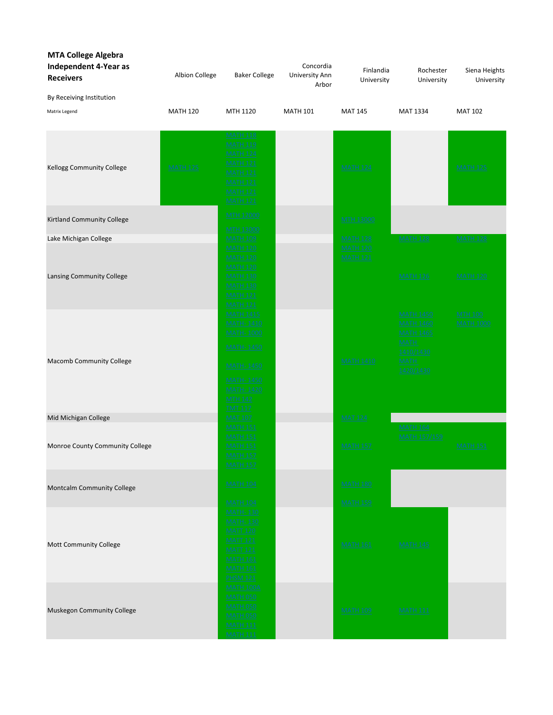| <b>MTA College Algebra</b><br><b>Independent 4-Year as</b><br><b>Receivers</b> | Albion College  | <b>Baker College</b>                                                                                                                                 | Concordia<br>University Ann<br>Arbor | Finlandia<br>University            | Rochester<br>University                                                              | Siena Heights<br>University        |
|--------------------------------------------------------------------------------|-----------------|------------------------------------------------------------------------------------------------------------------------------------------------------|--------------------------------------|------------------------------------|--------------------------------------------------------------------------------------|------------------------------------|
| By Receiving Institution                                                       |                 |                                                                                                                                                      |                                      |                                    |                                                                                      |                                    |
| Matrix Legend                                                                  | <b>MATH 120</b> | MTH 1120                                                                                                                                             | <b>MATH 101</b>                      | <b>MAT 145</b>                     | MAT 1334                                                                             | <b>MAT 102</b>                     |
| Kellogg Community College                                                      | <b>MATH 125</b> | <b>MATH 118</b><br><b>MATH 119</b><br><b>MATH 124</b><br><b>MATH 121</b><br><b>MATH 121</b><br><b>MATH 121</b><br><b>MATH 121</b><br><b>MATH 121</b> |                                      | <b>MATH 124</b>                    |                                                                                      | <b>MATH 125</b>                    |
| Kirtland Community College                                                     |                 | <b>MTH 12000</b><br><b>MTH 13000</b>                                                                                                                 |                                      | <b>MTH 13000</b>                   |                                                                                      |                                    |
| Lake Michigan College                                                          |                 | <b>MATH 109</b>                                                                                                                                      |                                      | <b>MATH 128</b>                    | <b>MATH 128</b>                                                                      | <b>MATH 128</b>                    |
| <b>Lansing Community College</b>                                               |                 | <b>MATH 120</b><br><b>MATH 120</b><br><b>MATH 120</b><br><b>MATH 130</b><br><b>MATH 130</b>                                                          |                                      | <b>MATH 120</b><br><b>MATH 121</b> | <b>MATH 126</b>                                                                      | <b>MATH 120</b>                    |
|                                                                                |                 | <b>MATH 121</b><br><b>MATH 121</b>                                                                                                                   |                                      |                                    |                                                                                      |                                    |
|                                                                                |                 | <b>MATH 1415</b><br><b>MATH-1410</b><br><b>MATH-1000</b><br><b>MATH-1450</b>                                                                         |                                      |                                    | <b>MATH 1450</b><br><b>MATH 1460</b><br><b>MATH 1465</b><br><b>MATH</b><br>1410/1430 | <b>MTH 100</b><br><b>MATH 1000</b> |
| <b>Macomb Community College</b>                                                |                 | <b>MATH-1450</b><br><b>MATH-1450</b><br><b>MATH-1420</b><br><b>MTH 142</b><br><u>TMT 117</u>                                                         |                                      | <b>MATH 1410</b>                   | <b>MATH</b><br>1420/1430                                                             |                                    |
| Mid Michigan College                                                           |                 | <b>MAT 107</b>                                                                                                                                       |                                      | <b>MAT 124</b>                     |                                                                                      |                                    |
| Monroe County Community College                                                |                 | <b>MATH 151</b><br><b>MATH 151</b><br><b>MATH 151</b><br><b>MATH 157</b>                                                                             |                                      | <b>MATH 157</b>                    | <b>MATH 164</b><br><b>MATH 157/159</b>                                               | <b>MATH 151</b>                    |
| Montcalm Community College                                                     |                 | <b>MATH 104</b><br><b>MATH 104</b>                                                                                                                   |                                      | <b>MATH 180</b><br><b>MATH 159</b> |                                                                                      |                                    |
| Mott Community College                                                         |                 | <b>MATH-130</b><br><b>MATH-130</b><br><b>MATT 120</b><br><b>MATT 121</b><br><b>MATT 121</b><br><b>MATH 161</b><br><b>MATH 161</b><br><b>PHSM 121</b> |                                      | <b>MATH 161</b>                    | <b>MATH 145</b>                                                                      |                                    |
| Muskegon Community College                                                     |                 | <b>MATH 100A</b><br><b>MATH 050</b><br><b>MATH 050</b><br><b>MATH 050</b><br><b>MATH 111</b><br><b>MATH 111</b>                                      |                                      | <b>MATH 109</b>                    | <b>MATH 111</b>                                                                      |                                    |